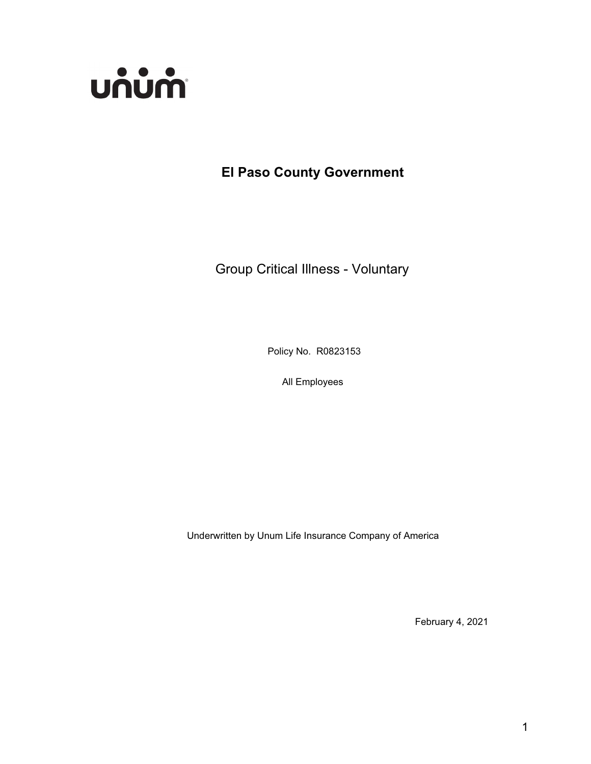

**El Paso County Government**

Group Critical Illness - Voluntary

Policy No. R0823153

All Employees

Underwritten by Unum Life Insurance Company of America

February 4, 2021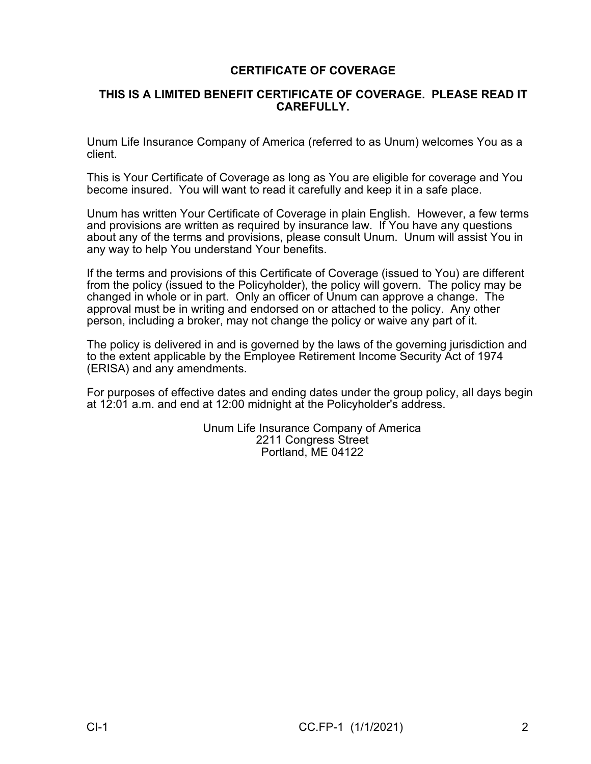# **CERTIFICATE OF COVERAGE**

## **THIS IS A LIMITED BENEFIT CERTIFICATE OF COVERAGE. PLEASE READ IT CAREFULLY.**

Unum Life Insurance Company of America (referred to as Unum) welcomes You as a client.

This is Your Certificate of Coverage as long as You are eligible for coverage and You become insured. You will want to read it carefully and keep it in a safe place.

Unum has written Your Certificate of Coverage in plain English. However, a few terms and provisions are written as required by insurance law. If You have any questions about any of the terms and provisions, please consult Unum. Unum will assist You in any way to help You understand Your benefits.

If the terms and provisions of this Certificate of Coverage (issued to You) are different from the policy (issued to the Policyholder), the policy will govern. The policy may be changed in whole or in part. Only an officer of Unum can approve a change. The approval must be in writing and endorsed on or attached to the policy. Any other person, including a broker, may not change the policy or waive any part of it.

The policy is delivered in and is governed by the laws of the governing jurisdiction and to the extent applicable by the Employee Retirement Income Security Act of 1974 (ERISA) and any amendments.

For purposes of effective dates and ending dates under the group policy, all days begin at 12:01 a.m. and end at 12:00 midnight at the Policyholder's address.

> Unum Life Insurance Company of America 2211 Congress Street Portland, ME 04122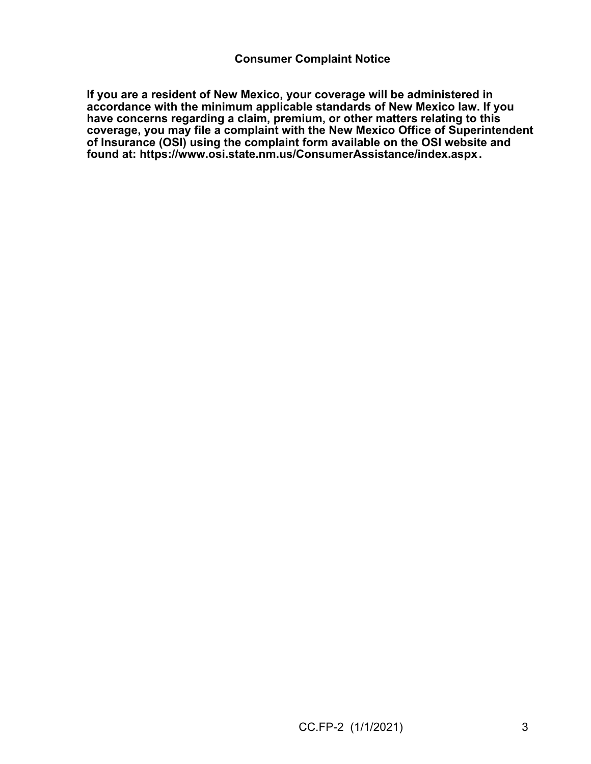**If you are a resident of New Mexico, your coverage will be administered in accordance with the minimum applicable standards of New Mexico law. If you have concerns regarding a claim, premium, or other matters relating to this coverage, you may file a complaint with the New Mexico Office of Superintendent of Insurance (OSI) using the complaint form available on the OSI website and found at: <https://www.osi.state.nm.us/ConsumerAssistance/index.aspx>.**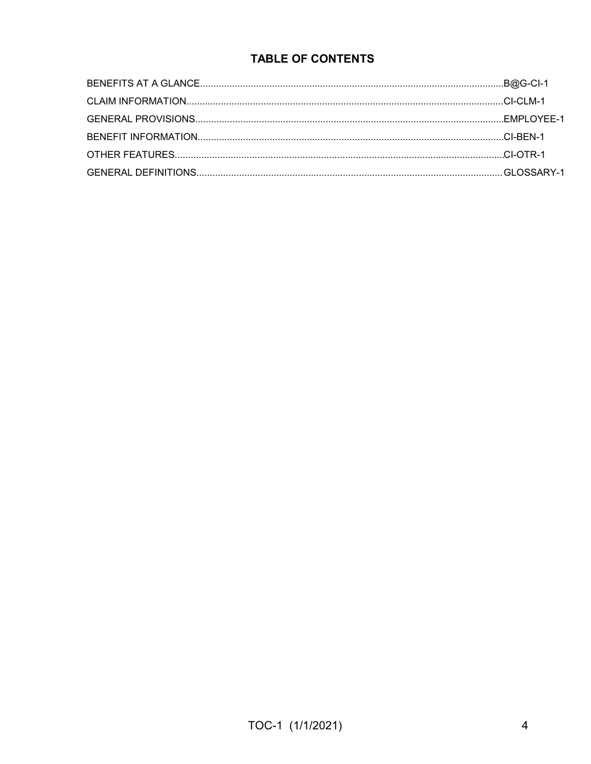# **TABLE OF CONTENTS**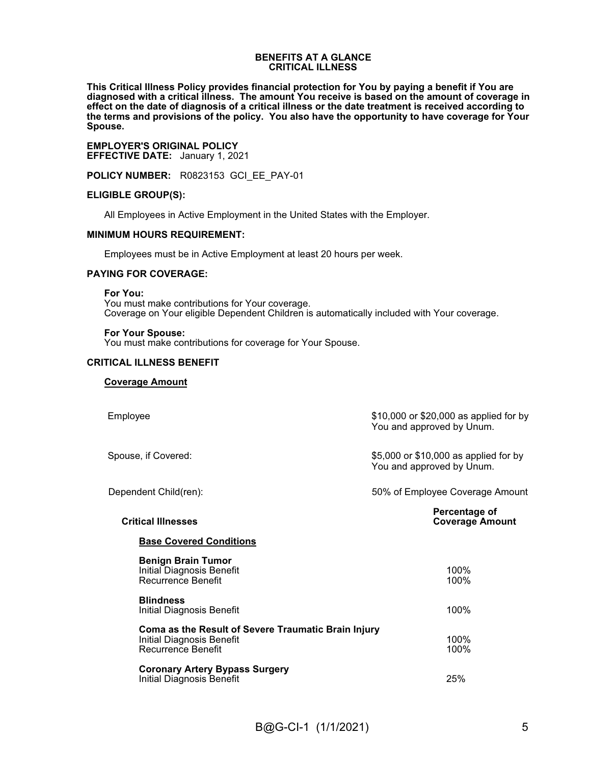#### **BENEFITS AT A GLANCE CRITICAL ILLNESS**

**This Critical Illness Policy provides financial protection for You by paying a benefit if You are diagnosed with a critical illness. The amount You receive is based on the amount of coverage in effect on the date of diagnosis of a critical illness or the date treatment is received according to the terms and provisions of the policy. You also have the opportunity to have coverage for Your Spouse.**

**EMPLOYER'S ORIGINAL POLICY EFFECTIVE DATE:** January 1, 2021

**POLICY NUMBER:** R0823153 GCI\_EE\_PAY-01

#### **ELIGIBLE GROUP(S):**

All Employees in Active Employment in the United States with the Employer.

#### **MINIMUM HOURS REQUIREMENT:**

Employees must be in Active Employment at least 20 hours per week.

#### **PAYING FOR COVERAGE:**

**For You:**

You must make contributions for Your coverage. Coverage on Your eligible Dependent Children is automatically included with Your coverage.

#### **For Your Spouse:**

You must make contributions for coverage for Your Spouse.

#### **CRITICAL ILLNESS BENEFIT**

#### **Coverage Amount**

| Employee                                                                                               | \$10,000 or \$20,000 as applied for by<br>You and approved by Unum. |
|--------------------------------------------------------------------------------------------------------|---------------------------------------------------------------------|
| Spouse, if Covered:                                                                                    | \$5,000 or \$10,000 as applied for by<br>You and approved by Unum.  |
| Dependent Child(ren):                                                                                  | 50% of Employee Coverage Amount                                     |
| <b>Critical Illnesses</b>                                                                              | Percentage of<br><b>Coverage Amount</b>                             |
| <b>Base Covered Conditions</b>                                                                         |                                                                     |
| <b>Benign Brain Tumor</b><br>Initial Diagnosis Benefit<br>Recurrence Benefit                           | 100%<br>100%                                                        |
| <b>Blindness</b><br>Initial Diagnosis Benefit                                                          | 100%                                                                |
| Coma as the Result of Severe Traumatic Brain Injury<br>Initial Diagnosis Benefit<br>Recurrence Benefit | 100%<br>100%                                                        |
| <b>Coronary Artery Bypass Surgery</b><br>Initial Diagnosis Benefit                                     | 25%                                                                 |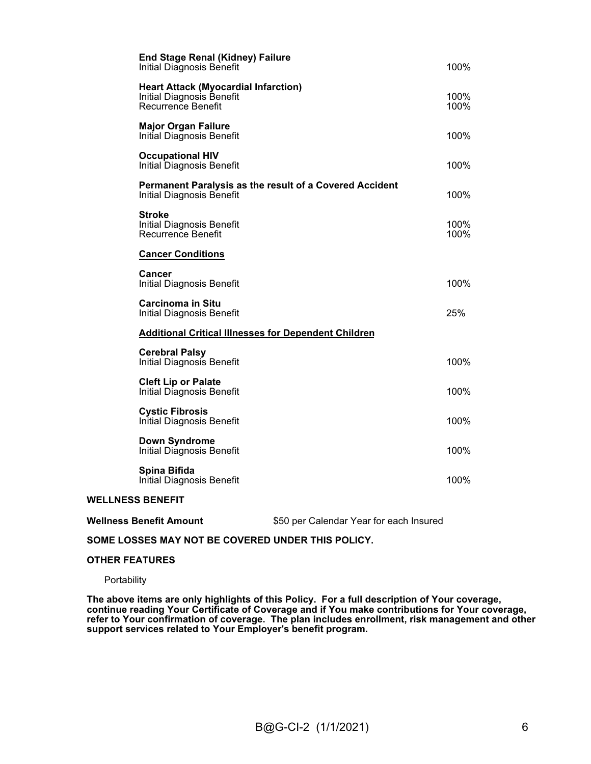| <b>End Stage Renal (Kidney) Failure</b><br><b>Initial Diagnosis Benefit</b>                           | 100%         |
|-------------------------------------------------------------------------------------------------------|--------------|
| <b>Heart Attack (Myocardial Infarction)</b><br>Initial Diagnosis Benefit<br><b>Recurrence Benefit</b> | 100%<br>100% |
| <b>Major Organ Failure</b><br>Initial Diagnosis Benefit                                               | 100%         |
| <b>Occupational HIV</b><br><b>Initial Diagnosis Benefit</b>                                           | 100%         |
| Permanent Paralysis as the result of a Covered Accident<br>Initial Diagnosis Benefit                  | 100%         |
| <b>Stroke</b><br><b>Initial Diagnosis Benefit</b><br><b>Recurrence Benefit</b>                        | 100%<br>100% |
| <b>Cancer Conditions</b>                                                                              |              |
| Cancer<br><b>Initial Diagnosis Benefit</b>                                                            | 100%         |
| <b>Carcinoma in Situ</b><br><b>Initial Diagnosis Benefit</b>                                          | 25%          |
| <b>Additional Critical Illnesses for Dependent Children</b>                                           |              |
| <b>Cerebral Palsy</b><br>Initial Diagnosis Benefit                                                    | 100%         |
| <b>Cleft Lip or Palate</b><br>Initial Diagnosis Benefit                                               | 100%         |
| <b>Cystic Fibrosis</b><br>Initial Diagnosis Benefit                                                   | 100%         |
| <b>Down Syndrome</b><br><b>Initial Diagnosis Benefit</b>                                              | 100%         |
| Spina Bifida<br><b>Initial Diagnosis Benefit</b>                                                      | 100%         |
|                                                                                                       |              |

#### **WELLNESS BENEFIT**

| <b>Wellness Benefit Amount</b> | \$50 per Calendar Year for each Insured |
|--------------------------------|-----------------------------------------|
|--------------------------------|-----------------------------------------|

#### **SOME LOSSES MAY NOT BE COVERED UNDER THIS POLICY.**

#### **OTHER FEATURES**

**Portability** 

**The above items are only highlights of this Policy. For a full description of Your coverage, continue reading Your Certificate of Coverage and if You make contributions for Your coverage, refer to Your confirmation of coverage. The plan includes enrollment, risk management and other support services related to Your Employer's benefit program.**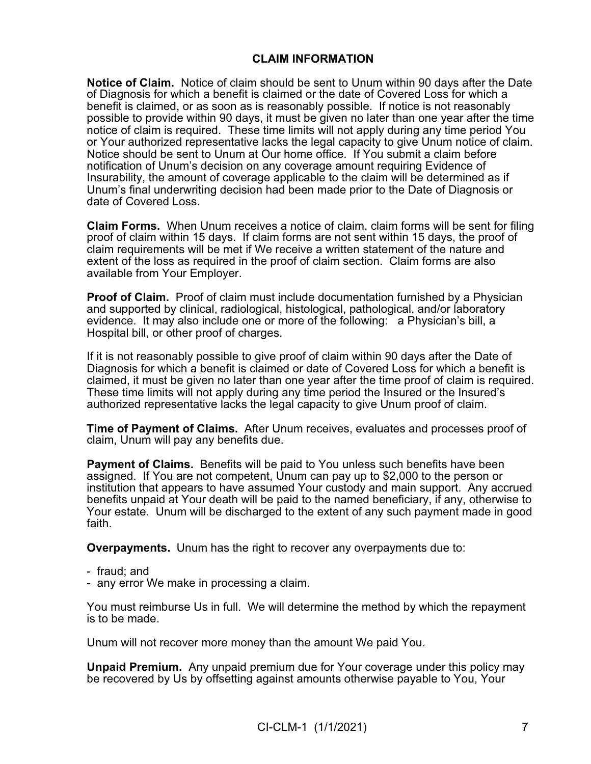# **CLAIM INFORMATION**

**Notice of Claim.** Notice of claim should be sent to Unum within 90 days after the Date of Diagnosis for which a benefit is claimed or the date of Covered Loss for which a benefit is claimed, or as soon as is reasonably possible. If notice is not reasonably possible to provide within 90 days, it must be given no later than one year after the time notice of claim is required. These time limits will not apply during any time period You or Your authorized representative lacks the legal capacity to give Unum notice of claim. Notice should be sent to Unum at Our home office. If You submit a claim before notification of Unum's decision on any coverage amount requiring Evidence of Insurability, the amount of coverage applicable to the claim will be determined as if Unum's final underwriting decision had been made prior to the Date of Diagnosis or date of Covered Loss.

**Claim Forms.** When Unum receives a notice of claim, claim forms will be sent for filing proof of claim within 15 days. If claim forms are not sent within 15 days, the proof of claim requirements will be met if We receive a written statement of the nature and extent of the loss as required in the proof of claim section. Claim forms are also available from Your Employer.

**Proof of Claim.** Proof of claim must include documentation furnished by a Physician and supported by clinical, radiological, histological, pathological, and/or laboratory evidence. It may also include one or more of the following: a Physician's bill, a Hospital bill, or other proof of charges.

If it is not reasonably possible to give proof of claim within 90 days after the Date of Diagnosis for which a benefit is claimed or date of Covered Loss for which a benefit is claimed, it must be given no later than one year after the time proof of claim is required. These time limits will not apply during any time period the Insured or the Insured's authorized representative lacks the legal capacity to give Unum proof of claim.

**Time of Payment of Claims.** After Unum receives, evaluates and processes proof of claim, Unum will pay any benefits due.

**Payment of Claims.** Benefits will be paid to You unless such benefits have been assigned. If You are not competent, Unum can pay up to \$2,000 to the person or institution that appears to have assumed Your custody and main support. Any accrued benefits unpaid at Your death will be paid to the named beneficiary, if any, otherwise to Your estate. Unum will be discharged to the extent of any such payment made in good faith.

**Overpayments.** Unum has the right to recover any overpayments due to:

- fraud; and
- any error We make in processing a claim.

You must reimburse Us in full. We will determine the method by which the repayment is to be made.

Unum will not recover more money than the amount We paid You.

**Unpaid Premium.** Any unpaid premium due for Your coverage under this policy may be recovered by Us by offsetting against amounts otherwise payable to You, Your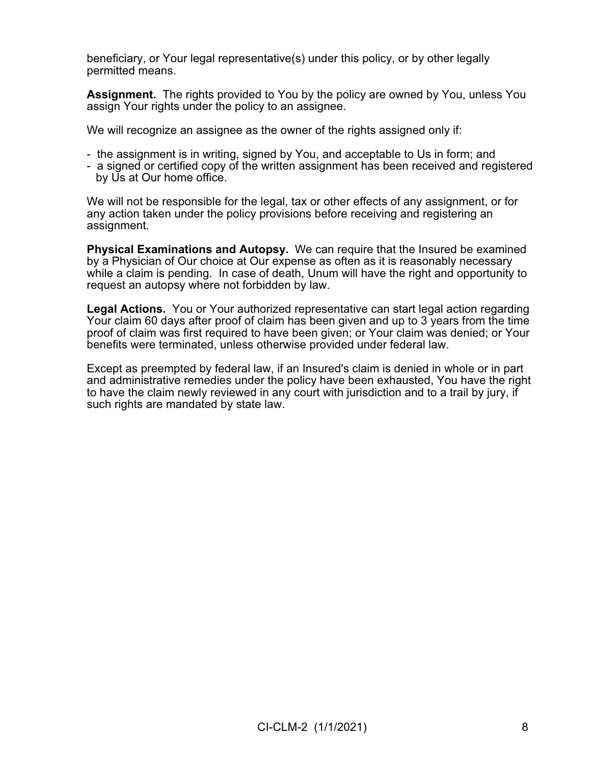beneficiary, or Your legal representative(s) under this policy, or by other legally permitted means.

**Assignment.** The rights provided to You by the policy are owned by You, unless You assign Your rights under the policy to an assignee.

We will recognize an assignee as the owner of the rights assigned only if:

- the assignment is in writing, signed by You, and acceptable to Us in form; and
- a signed or certified copy of the written assignment has been received and registered by Us at Our home office.

We will not be responsible for the legal, tax or other effects of any assignment, or for any action taken under the policy provisions before receiving and registering an assignment.

**Physical Examinations and Autopsy.** We can require that the Insured be examined by a Physician of Our choice at Our expense as often as it is reasonably necessary while a claim is pending. In case of death, Unum will have the right and opportunity to request an autopsy where not forbidden by law.

**Legal Actions.** You or Your authorized representative can start legal action regarding Your claim 60 days after proof of claim has been given and up to 3 years from the time proof of claim was first required to have been given; or Your claim was denied; or Your benefits were terminated, unless otherwise provided under federal law.

Except as preempted by federal law, if an Insured's claim is denied in whole or in part and administrative remedies under the policy have been exhausted, You have the right to have the claim newly reviewed in any court with jurisdiction and to a trail by jury, if such rights are mandated by state law.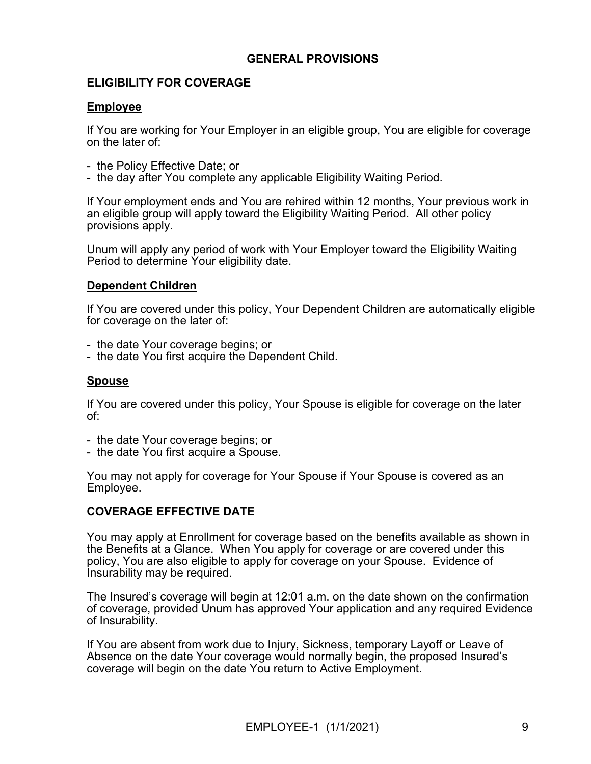## **GENERAL PROVISIONS**

# **ELIGIBILITY FOR COVERAGE**

## **Employee**

If You are working for Your Employer in an eligible group, You are eligible for coverage on the later of:

- the Policy Effective Date; or
- the day after You complete any applicable Eligibility Waiting Period.

If Your employment ends and You are rehired within 12 months, Your previous work in an eligible group will apply toward the Eligibility Waiting Period. All other policy provisions apply.

Unum will apply any period of work with Your Employer toward the Eligibility Waiting Period to determine Your eligibility date.

## **Dependent Children**

If You are covered under this policy, Your Dependent Children are automatically eligible for coverage on the later of:

- the date Your coverage begins; or
- the date You first acquire the Dependent Child.

## **Spouse**

If You are covered under this policy, Your Spouse is eligible for coverage on the later of:

- the date Your coverage begins; or
- the date You first acquire a Spouse.

You may not apply for coverage for Your Spouse if Your Spouse is covered as an Employee.

## **COVERAGE EFFECTIVE DATE**

You may apply at Enrollment for coverage based on the benefits available as shown in the Benefits at a Glance. When You apply for coverage or are covered under this policy, You are also eligible to apply for coverage on your Spouse. Evidence of Insurability may be required.

The Insured's coverage will begin at 12:01 a.m. on the date shown on the confirmation of coverage, provided Unum has approved Your application and any required Evidence of Insurability.

If You are absent from work due to Injury, Sickness, temporary Layoff or Leave of Absence on the date Your coverage would normally begin, the proposed Insured's coverage will begin on the date You return to Active Employment.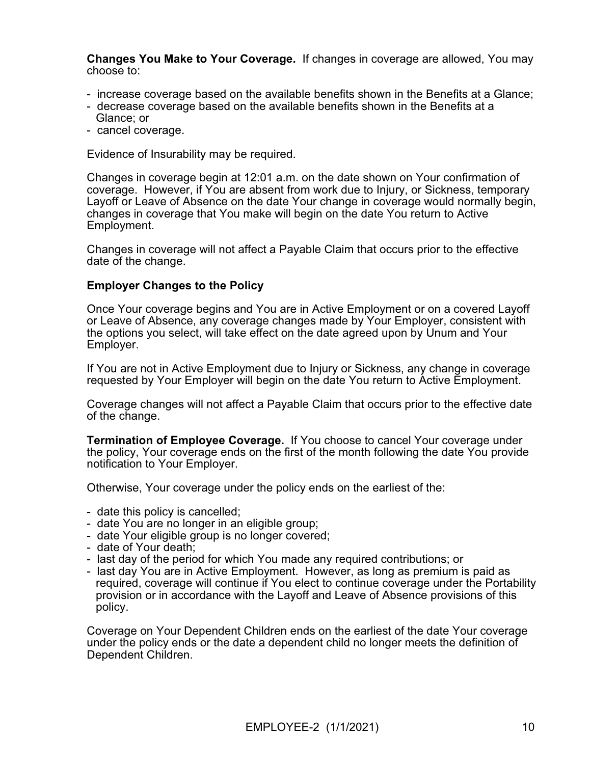**Changes You Make to Your Coverage.** If changes in coverage are allowed, You may choose to:

- increase coverage based on the available benefits shown in the Benefits at a Glance;
- decrease coverage based on the available benefits shown in the Benefits at a Glance; or
- cancel coverage.

Evidence of Insurability may be required.

Changes in coverage begin at 12:01 a.m. on the date shown on Your confirmation of coverage. However, if You are absent from work due to Injury, or Sickness, temporary Layoff or Leave of Absence on the date Your change in coverage would normally begin, changes in coverage that You make will begin on the date You return to Active Employment.

Changes in coverage will not affect a Payable Claim that occurs prior to the effective date of the change.

## **Employer Changes to the Policy**

Once Your coverage begins and You are in Active Employment or on a covered Layoff or Leave of Absence, any coverage changes made by Your Employer, consistent with the options you select, will take effect on the date agreed upon by Unum and Your Employer.

If You are not in Active Employment due to Injury or Sickness, any change in coverage requested by Your Employer will begin on the date You return to Active Employment.

Coverage changes will not affect a Payable Claim that occurs prior to the effective date of the change.

**Termination of Employee Coverage.** If You choose to cancel Your coverage under the policy, Your coverage ends on the first of the month following the date You provide notification to Your Employer.

Otherwise, Your coverage under the policy ends on the earliest of the:

- date this policy is cancelled;
- date You are no longer in an eligible group;
- date Your eligible group is no longer covered;
- date of Your death;
- last day of the period for which You made any required contributions; or
- last day You are in Active Employment. However, as long as premium is paid as required, coverage will continue if You elect to continue coverage under the Portability provision or in accordance with the Layoff and Leave of Absence provisions of this policy.

Coverage on Your Dependent Children ends on the earliest of the date Your coverage under the policy ends or the date a dependent child no longer meets the definition of Dependent Children.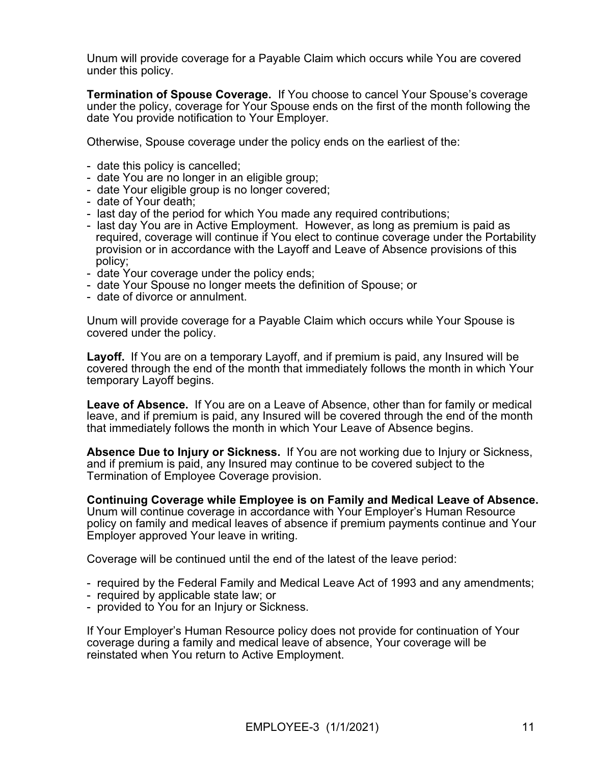Unum will provide coverage for a Payable Claim which occurs while You are covered under this policy.

**Termination of Spouse Coverage.** If You choose to cancel Your Spouse's coverage under the policy, coverage for Your Spouse ends on the first of the month following the date You provide notification to Your Employer.

Otherwise, Spouse coverage under the policy ends on the earliest of the:

- date this policy is cancelled;
- date You are no longer in an eligible group;
- date Your eligible group is no longer covered;
- date of Your death;
- last day of the period for which You made any required contributions;
- last day You are in Active Employment. However, as long as premium is paid as required, coverage will continue if You elect to continue coverage under the Portability provision or in accordance with the Layoff and Leave of Absence provisions of this policy;
- date Your coverage under the policy ends;
- date Your Spouse no longer meets the definition of Spouse; or
- date of divorce or annulment.

Unum will provide coverage for a Payable Claim which occurs while Your Spouse is covered under the policy.

**Layoff.** If You are on a temporary Layoff, and if premium is paid, any Insured will be covered through the end of the month that immediately follows the month in which Your temporary Layoff begins.

**Leave of Absence.** If You are on a Leave of Absence, other than for family or medical leave, and if premium is paid, any Insured will be covered through the end of the month that immediately follows the month in which Your Leave of Absence begins.

**Absence Due to Injury or Sickness.** If You are not working due to Injury or Sickness, and if premium is paid, any Insured may continue to be covered subject to the Termination of Employee Coverage provision.

**Continuing Coverage while Employee is on Family and Medical Leave of Absence.** Unum will continue coverage in accordance with Your Employer's Human Resource policy on family and medical leaves of absence if premium payments continue and Your Employer approved Your leave in writing.

Coverage will be continued until the end of the latest of the leave period:

- required by the Federal Family and Medical Leave Act of 1993 and any amendments;
- required by applicable state law; or
- provided to You for an Injury or Sickness.

If Your Employer's Human Resource policy does not provide for continuation of Your coverage during a family and medical leave of absence, Your coverage will be reinstated when You return to Active Employment.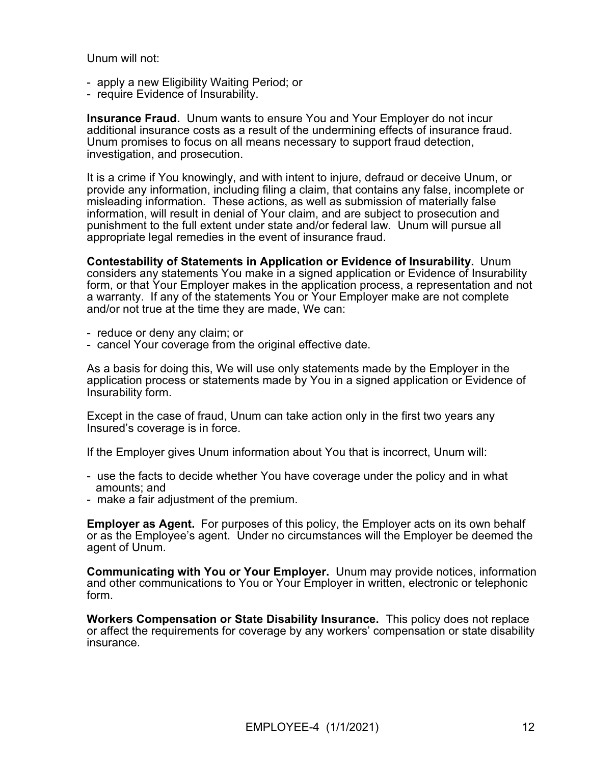Unum will not:

- apply a new Eligibility Waiting Period; or
- require Evidence of Insurability.

**Insurance Fraud.** Unum wants to ensure You and Your Employer do not incur additional insurance costs as a result of the undermining effects of insurance fraud. Unum promises to focus on all means necessary to support fraud detection, investigation, and prosecution.

It is a crime if You knowingly, and with intent to injure, defraud or deceive Unum, or provide any information, including filing a claim, that contains any false, incomplete or misleading information. These actions, as well as submission of materially false information, will result in denial of Your claim, and are subject to prosecution and punishment to the full extent under state and/or federal law. Unum will pursue all appropriate legal remedies in the event of insurance fraud.

**Contestability of Statements in Application or Evidence of Insurability.** Unum considers any statements You make in a signed application or Evidence of Insurability form, or that Your Employer makes in the application process, a representation and not a warranty. If any of the statements You or Your Employer make are not complete and/or not true at the time they are made, We can:

- reduce or deny any claim; or
- cancel Your coverage from the original effective date.

As a basis for doing this, We will use only statements made by the Employer in the application process or statements made by You in a signed application or Evidence of Insurability form.

Except in the case of fraud, Unum can take action only in the first two years any Insured's coverage is in force.

If the Employer gives Unum information about You that is incorrect, Unum will:

- use the facts to decide whether You have coverage under the policy and in what amounts; and
- make a fair adjustment of the premium.

**Employer as Agent.** For purposes of this policy, the Employer acts on its own behalf or as the Employee's agent. Under no circumstances will the Employer be deemed the agent of Unum.

**Communicating with You or Your Employer.** Unum may provide notices, information and other communications to You or Your Employer in written, electronic or telephonic form.

**Workers Compensation or State Disability Insurance.** This policy does not replace or affect the requirements for coverage by any workers' compensation or state disability insurance.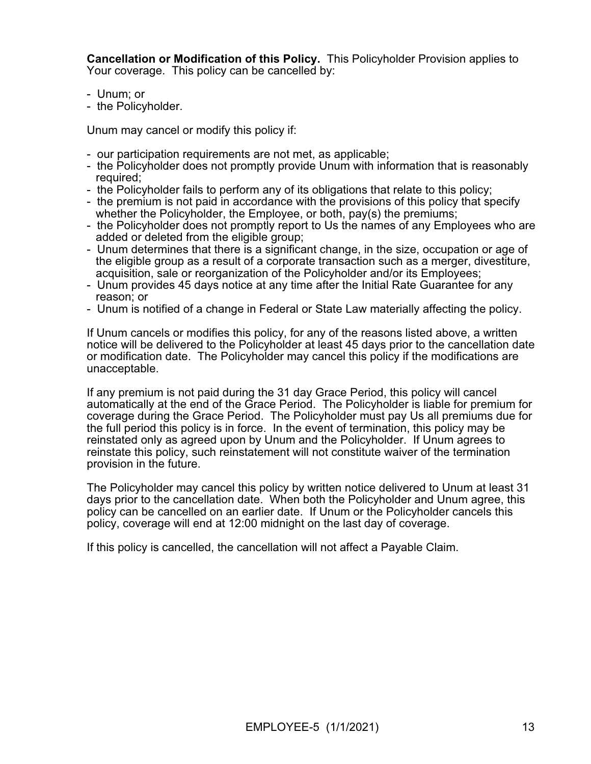**Cancellation or Modification of this Policy.** This Policyholder Provision applies to Your coverage. This policy can be cancelled by:

- Unum; or
- the Policyholder.

Unum may cancel or modify this policy if:

- our participation requirements are not met, as applicable;
- the Policyholder does not promptly provide Unum with information that is reasonably required;
- the Policyholder fails to perform any of its obligations that relate to this policy;
- the premium is not paid in accordance with the provisions of this policy that specify whether the Policyholder, the Employee, or both, pay(s) the premiums;
- the Policyholder does not promptly report to Us the names of any Employees who are added or deleted from the eligible group;
- Unum determines that there is a significant change, in the size, occupation or age of the eligible group as a result of a corporate transaction such as a merger, divestiture, acquisition, sale or reorganization of the Policyholder and/or its Employees;
- Unum provides 45 days notice at any time after the Initial Rate Guarantee for any reason; or
- Unum is notified of a change in Federal or State Law materially affecting the policy.

If Unum cancels or modifies this policy, for any of the reasons listed above, a written notice will be delivered to the Policyholder at least 45 days prior to the cancellation date or modification date. The Policyholder may cancel this policy if the modifications are unacceptable.

If any premium is not paid during the 31 day Grace Period, this policy will cancel automatically at the end of the Grace Period. The Policyholder is liable for premium for coverage during the Grace Period. The Policyholder must pay Us all premiums due for the full period this policy is in force. In the event of termination, this policy may be reinstated only as agreed upon by Unum and the Policyholder. If Unum agrees to reinstate this policy, such reinstatement will not constitute waiver of the termination provision in the future.

The Policyholder may cancel this policy by written notice delivered to Unum at least 31 days prior to the cancellation date. When both the Policyholder and Unum agree, this policy can be cancelled on an earlier date. If Unum or the Policyholder cancels this policy, coverage will end at 12:00 midnight on the last day of coverage.

If this policy is cancelled, the cancellation will not affect a Payable Claim.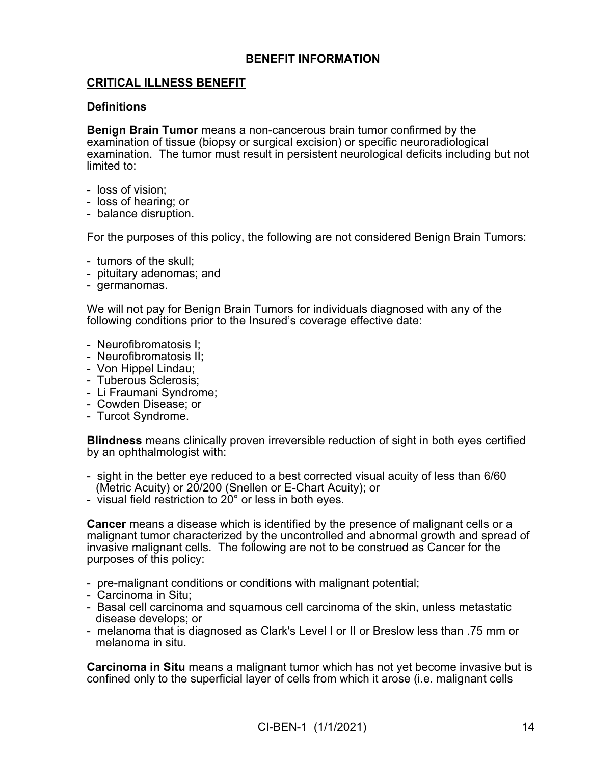## **BENEFIT INFORMATION**

# **CRITICAL ILLNESS BENEFIT**

### **Definitions**

**Benign Brain Tumor** means a non-cancerous brain tumor confirmed by the examination of tissue (biopsy or surgical excision) or specific neuroradiological examination. The tumor must result in persistent neurological deficits including but not limited to:

- loss of vision;
- loss of hearing; or
- balance disruption.

For the purposes of this policy, the following are not considered Benign Brain Tumors:

- tumors of the skull;
- pituitary adenomas; and
- germanomas.

We will not pay for Benign Brain Tumors for individuals diagnosed with any of the following conditions prior to the Insured's coverage effective date:

- Neurofibromatosis I;
- Neurofibromatosis II;
- Von Hippel Lindau;
- Tuberous Sclerosis;
- Li Fraumani Syndrome;
- Cowden Disease; or
- Turcot Syndrome.

**Blindness** means clinically proven irreversible reduction of sight in both eyes certified by an ophthalmologist with:

- sight in the better eye reduced to a best corrected visual acuity of less than 6/60 (Metric Acuity) or 20/200 (Snellen or E-Chart Acuity); or
- visual field restriction to 20° or less in both eyes.

**Cancer** means a disease which is identified by the presence of malignant cells or a malignant tumor characterized by the uncontrolled and abnormal growth and spread of invasive malignant cells. The following are not to be construed as Cancer for the purposes of this policy:

- pre-malignant conditions or conditions with malignant potential;
- Carcinoma in Situ;
- Basal cell carcinoma and squamous cell carcinoma of the skin, unless metastatic disease develops; or
- melanoma that is diagnosed as Clark's Level I or II or Breslow less than .75 mm or melanoma in situ.

**Carcinoma in Situ** means a malignant tumor which has not yet become invasive but is confined only to the superficial layer of cells from which it arose (i.e. malignant cells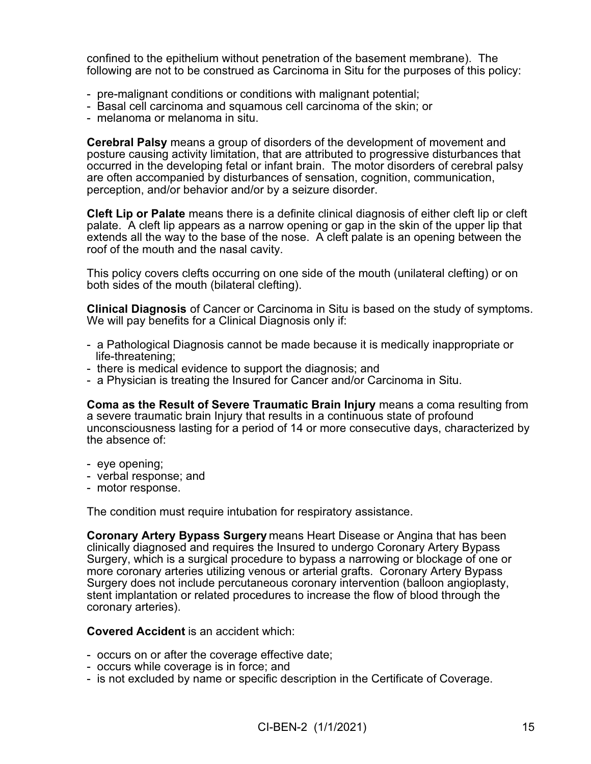confined to the epithelium without penetration of the basement membrane). The following are not to be construed as Carcinoma in Situ for the purposes of this policy:

- pre-malignant conditions or conditions with malignant potential;
- Basal cell carcinoma and squamous cell carcinoma of the skin; or
- melanoma or melanoma in situ.

**Cerebral Palsy** means a group of disorders of the development of movement and posture causing activity limitation, that are attributed to progressive disturbances that occurred in the developing fetal or infant brain. The motor disorders of cerebral palsy are often accompanied by disturbances of sensation, cognition, communication, perception, and/or behavior and/or by a seizure disorder.

**Cleft Lip or Palate** means there is a definite clinical diagnosis of either cleft lip or cleft palate. A cleft lip appears as a narrow opening or gap in the skin of the upper lip that extends all the way to the base of the nose. A cleft palate is an opening between the roof of the mouth and the nasal cavity.

This policy covers clefts occurring on one side of the mouth (unilateral clefting) or on both sides of the mouth (bilateral clefting).

**Clinical Diagnosis** of Cancer or Carcinoma in Situ is based on the study of symptoms. We will pay benefits for a Clinical Diagnosis only if:

- a Pathological Diagnosis cannot be made because it is medically inappropriate or life-threatening;
- there is medical evidence to support the diagnosis; and
- a Physician is treating the Insured for Cancer and/or Carcinoma in Situ.

**Coma as the Result of Severe Traumatic Brain Injury** means a coma resulting from a severe traumatic brain Injury that results in a continuous state of profound unconsciousness lasting for a period of 14 or more consecutive days, characterized by the absence of:

- eye opening;
- verbal response; and
- motor response.

The condition must require intubation for respiratory assistance.

**Coronary Artery Bypass Surgery** means Heart Disease or Angina that has been clinically diagnosed and requires the Insured to undergo Coronary Artery Bypass Surgery, which is a surgical procedure to bypass a narrowing or blockage of one or more coronary arteries utilizing venous or arterial grafts. Coronary Artery Bypass Surgery does not include percutaneous coronary intervention (balloon angioplasty, stent implantation or related procedures to increase the flow of blood through the coronary arteries).

### **Covered Accident** is an accident which:

- occurs on or after the coverage effective date;
- occurs while coverage is in force; and
- is not excluded by name or specific description in the Certificate of Coverage.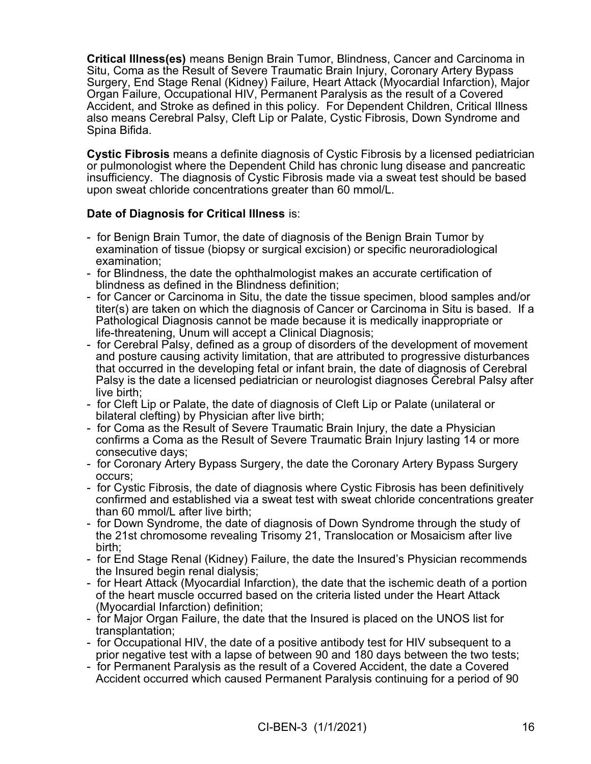**Critical Illness(es)** means Benign Brain Tumor, Blindness, Cancer and Carcinoma in Situ, Coma as the Result of Severe Traumatic Brain Injury, Coronary Artery Bypass Surgery, End Stage Renal (Kidney) Failure, Heart Attack (Myocardial Infarction), Major Organ Failure, Occupational HIV, Permanent Paralysis as the result of a Covered Accident, and Stroke as defined in this policy. For Dependent Children, Critical Illness also means Cerebral Palsy, Cleft Lip or Palate, Cystic Fibrosis, Down Syndrome and Spina Bifida.

**Cystic Fibrosis** means a definite diagnosis of Cystic Fibrosis by a licensed pediatrician or pulmonologist where the Dependent Child has chronic lung disease and pancreatic insufficiency. The diagnosis of Cystic Fibrosis made via a sweat test should be based upon sweat chloride concentrations greater than 60 mmol/L.

# **Date of Diagnosis for Critical Illness** is:

- for Benign Brain Tumor, the date of diagnosis of the Benign Brain Tumor by examination of tissue (biopsy or surgical excision) or specific neuroradiological examination;
- for Blindness, the date the ophthalmologist makes an accurate certification of blindness as defined in the Blindness definition;
- for Cancer or Carcinoma in Situ, the date the tissue specimen, blood samples and/or titer(s) are taken on which the diagnosis of Cancer or Carcinoma in Situ is based. If a Pathological Diagnosis cannot be made because it is medically inappropriate or life-threatening, Unum will accept a Clinical Diagnosis;
- for Cerebral Palsy, defined as a group of disorders of the development of movement and posture causing activity limitation, that are attributed to progressive disturbances that occurred in the developing fetal or infant brain, the date of diagnosis of Cerebral Palsy is the date a licensed pediatrician or neurologist diagnoses Cerebral Palsy after live birth;
- for Cleft Lip or Palate, the date of diagnosis of Cleft Lip or Palate (unilateral or bilateral clefting) by Physician after live birth;
- for Coma as the Result of Severe Traumatic Brain Injury, the date a Physician confirms a Coma as the Result of Severe Traumatic Brain Injury lasting 14 or more consecutive days;
- for Coronary Artery Bypass Surgery, the date the Coronary Artery Bypass Surgery occurs;
- for Cystic Fibrosis, the date of diagnosis where Cystic Fibrosis has been definitively confirmed and established via a sweat test with sweat chloride concentrations greater than 60 mmol/L after live birth;
- for Down Syndrome, the date of diagnosis of Down Syndrome through the study of the 21st chromosome revealing Trisomy 21, Translocation or Mosaicism after live birth;
- for End Stage Renal (Kidney) Failure, the date the Insured's Physician recommends the Insured begin renal dialysis;
- for Heart Attack (Myocardial Infarction), the date that the ischemic death of a portion of the heart muscle occurred based on the criteria listed under the Heart Attack (Myocardial Infarction) definition;
- for Major Organ Failure, the date that the Insured is placed on the UNOS list for transplantation;
- for Occupational HIV, the date of a positive antibody test for HIV subsequent to a prior negative test with a lapse of between 90 and 180 days between the two tests;
- for Permanent Paralysis as the result of a Covered Accident, the date a Covered Accident occurred which caused Permanent Paralysis continuing for a period of 90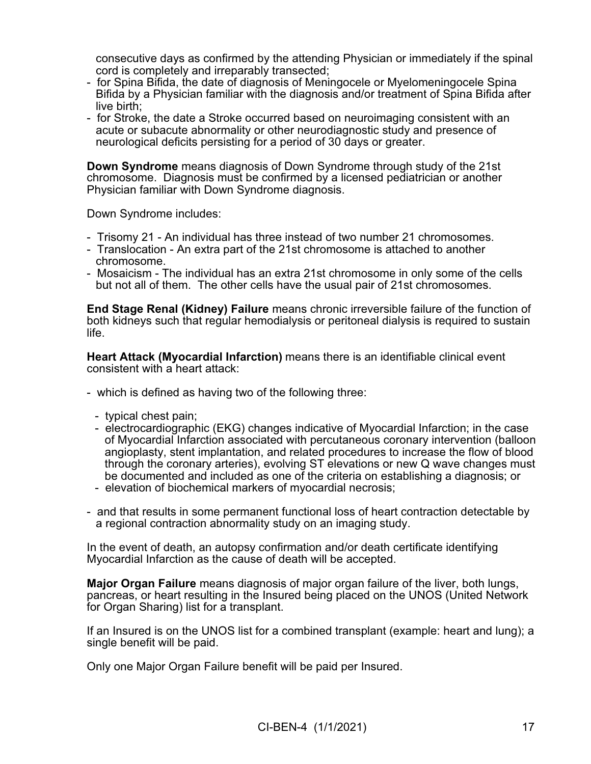consecutive days as confirmed by the attending Physician or immediately if the spinal cord is completely and irreparably transected;

- for Spina Bifida, the date of diagnosis of Meningocele or Myelomeningocele Spina Bifida by a Physician familiar with the diagnosis and/or treatment of Spina Bifida after live birth;
- for Stroke, the date a Stroke occurred based on neuroimaging consistent with an acute or subacute abnormality or other neurodiagnostic study and presence of neurological deficits persisting for a period of 30 days or greater.

**Down Syndrome** means diagnosis of Down Syndrome through study of the 21st chromosome. Diagnosis must be confirmed by a licensed pediatrician or another Physician familiar with Down Syndrome diagnosis.

Down Syndrome includes:

- Trisomy 21 An individual has three instead of two number 21 chromosomes.
- Translocation An extra part of the 21st chromosome is attached to another chromosome.
- Mosaicism The individual has an extra 21st chromosome in only some of the cells but not all of them. The other cells have the usual pair of 21st chromosomes.

**End Stage Renal (Kidney) Failure** means chronic irreversible failure of the function of both kidneys such that regular hemodialysis or peritoneal dialysis is required to sustain life.

**Heart Attack (Myocardial Infarction)** means there is an identifiable clinical event consistent with a heart attack:

- which is defined as having two of the following three:
	- typical chest pain;
	- electrocardiographic (EKG) changes indicative of Myocardial Infarction; in the case of Myocardial Infarction associated with percutaneous coronary intervention (balloon angioplasty, stent implantation, and related procedures to increase the flow of blood through the coronary arteries), evolving ST elevations or new Q wave changes must be documented and included as one of the criteria on establishing a diagnosis; or
	- elevation of biochemical markers of myocardial necrosis;
- and that results in some permanent functional loss of heart contraction detectable by a regional contraction abnormality study on an imaging study.

In the event of death, an autopsy confirmation and/or death certificate identifying Myocardial Infarction as the cause of death will be accepted.

**Major Organ Failure** means diagnosis of major organ failure of the liver, both lungs, pancreas, or heart resulting in the Insured being placed on the UNOS (United Network for Organ Sharing) list for a transplant.

If an Insured is on the UNOS list for a combined transplant (example: heart and lung); a single benefit will be paid.

Only one Major Organ Failure benefit will be paid per Insured.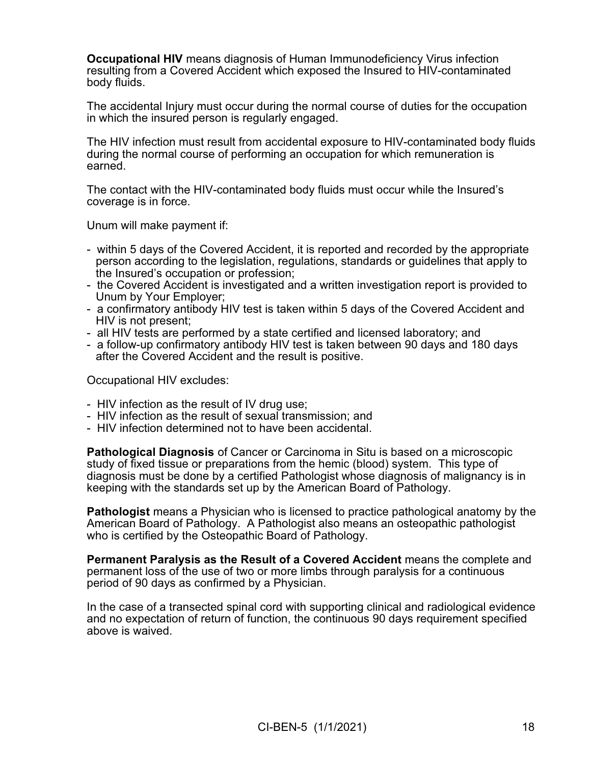**Occupational HIV** means diagnosis of Human Immunodeficiency Virus infection resulting from a Covered Accident which exposed the Insured to HIV-contaminated body fluids.

The accidental Injury must occur during the normal course of duties for the occupation in which the insured person is regularly engaged.

The HIV infection must result from accidental exposure to HIV-contaminated body fluids during the normal course of performing an occupation for which remuneration is earned.

The contact with the HIV-contaminated body fluids must occur while the Insured's coverage is in force.

Unum will make payment if:

- within 5 days of the Covered Accident, it is reported and recorded by the appropriate person according to the legislation, regulations, standards or guidelines that apply to the Insured's occupation or profession;
- the Covered Accident is investigated and a written investigation report is provided to Unum by Your Employer;
- a confirmatory antibody HIV test is taken within 5 days of the Covered Accident and HIV is not present;
- all HIV tests are performed by a state certified and licensed laboratory; and
- a follow-up confirmatory antibody HIV test is taken between 90 days and 180 days after the Covered Accident and the result is positive.

Occupational HIV excludes:

- HIV infection as the result of IV drug use;
- HIV infection as the result of sexual transmission; and
- HIV infection determined not to have been accidental.

**Pathological Diagnosis** of Cancer or Carcinoma in Situ is based on a microscopic study of fixed tissue or preparations from the hemic (blood) system. This type of diagnosis must be done by a certified Pathologist whose diagnosis of malignancy is in keeping with the standards set up by the American Board of Pathology.

**Pathologist** means a Physician who is licensed to practice pathological anatomy by the American Board of Pathology. A Pathologist also means an osteopathic pathologist who is certified by the Osteopathic Board of Pathology.

**Permanent Paralysis as the Result of a Covered Accident** means the complete and permanent loss of the use of two or more limbs through paralysis for a continuous period of 90 days as confirmed by a Physician.

In the case of a transected spinal cord with supporting clinical and radiological evidence and no expectation of return of function, the continuous 90 days requirement specified above is waived.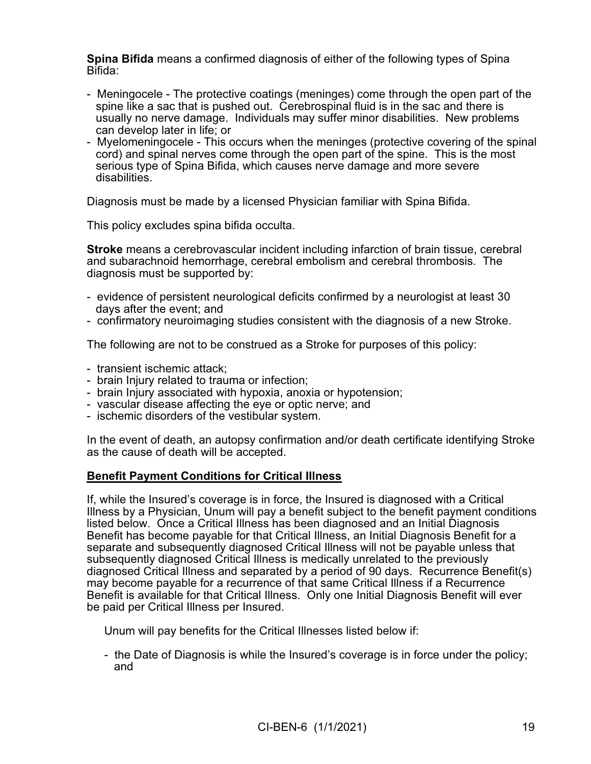**Spina Bifida** means a confirmed diagnosis of either of the following types of Spina Bifida:

- Meningocele The protective coatings (meninges) come through the open part of the spine like a sac that is pushed out. Cerebrospinal fluid is in the sac and there is usually no nerve damage. Individuals may suffer minor disabilities. New problems can develop later in life; or
- Myelomeningocele This occurs when the meninges (protective covering of the spinal cord) and spinal nerves come through the open part of the spine. This is the most serious type of Spina Bifida, which causes nerve damage and more severe disabilities.

Diagnosis must be made by a licensed Physician familiar with Spina Bifida.

This policy excludes spina bifida occulta.

**Stroke** means a cerebrovascular incident including infarction of brain tissue, cerebral and subarachnoid hemorrhage, cerebral embolism and cerebral thrombosis. The diagnosis must be supported by:

- evidence of persistent neurological deficits confirmed by a neurologist at least 30 days after the event; and
- confirmatory neuroimaging studies consistent with the diagnosis of a new Stroke.

The following are not to be construed as a Stroke for purposes of this policy:

- transient ischemic attack;
- brain Injury related to trauma or infection;
- brain Injury associated with hypoxia, anoxia or hypotension;
- vascular disease affecting the eye or optic nerve; and
- ischemic disorders of the vestibular system.

In the event of death, an autopsy confirmation and/or death certificate identifying Stroke as the cause of death will be accepted.

## **Benefit Payment Conditions for Critical Illness**

If, while the Insured's coverage is in force, the Insured is diagnosed with a Critical Illness by a Physician, Unum will pay a benefit subject to the benefit payment conditions listed below. Once a Critical Illness has been diagnosed and an Initial Diagnosis Benefit has become payable for that Critical Illness, an Initial Diagnosis Benefit for a separate and subsequently diagnosed Critical Illness will not be payable unless that subsequently diagnosed Critical Illness is medically unrelated to the previously diagnosed Critical Illness and separated by a period of 90 days. Recurrence Benefit(s) may become payable for a recurrence of that same Critical Illness if a Recurrence Benefit is available for that Critical Illness. Only one Initial Diagnosis Benefit will ever be paid per Critical Illness per Insured.

Unum will pay benefits for the Critical Illnesses listed below if:

- the Date of Diagnosis is while the Insured's coverage is in force under the policy; and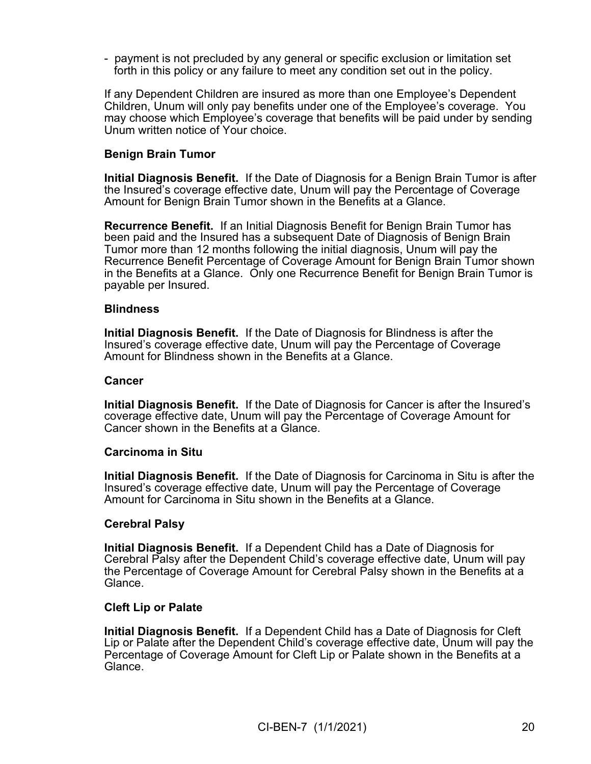- payment is not precluded by any general or specific exclusion or limitation set forth in this policy or any failure to meet any condition set out in the policy.

If any Dependent Children are insured as more than one Employee's Dependent Children, Unum will only pay benefits under one of the Employee's coverage. You may choose which Employee's coverage that benefits will be paid under by sending Unum written notice of Your choice.

## **Benign Brain Tumor**

**Initial Diagnosis Benefit.** If the Date of Diagnosis for a Benign Brain Tumor is after the Insured's coverage effective date, Unum will pay the Percentage of Coverage Amount for Benign Brain Tumor shown in the Benefits at a Glance.

**Recurrence Benefit.** If an Initial Diagnosis Benefit for Benign Brain Tumor has been paid and the Insured has a subsequent Date of Diagnosis of Benign Brain Tumor more than 12 months following the initial diagnosis, Unum will pay the Recurrence Benefit Percentage of Coverage Amount for Benign Brain Tumor shown in the Benefits at a Glance. Only one Recurrence Benefit for Benign Brain Tumor is payable per Insured.

#### **Blindness**

**Initial Diagnosis Benefit.** If the Date of Diagnosis for Blindness is after the Insured's coverage effective date, Unum will pay the Percentage of Coverage Amount for Blindness shown in the Benefits at a Glance.

### **Cancer**

**Initial Diagnosis Benefit.** If the Date of Diagnosis for Cancer is after the Insured's coverage effective date, Unum will pay the Percentage of Coverage Amount for Cancer shown in the Benefits at a Glance.

#### **Carcinoma in Situ**

**Initial Diagnosis Benefit.** If the Date of Diagnosis for Carcinoma in Situ is after the Insured's coverage effective date, Unum will pay the Percentage of Coverage Amount for Carcinoma in Situ shown in the Benefits at a Glance.

#### **Cerebral Palsy**

**Initial Diagnosis Benefit.** If a Dependent Child has a Date of Diagnosis for Cerebral Palsy after the Dependent Child's coverage effective date, Unum will pay the Percentage of Coverage Amount for Cerebral Palsy shown in the Benefits at a Glance.

#### **Cleft Lip or Palate**

**Initial Diagnosis Benefit.** If a Dependent Child has a Date of Diagnosis for Cleft Lip or Palate after the Dependent Child's coverage effective date, Unum will pay the Percentage of Coverage Amount for Cleft Lip or Palate shown in the Benefits at a Glance.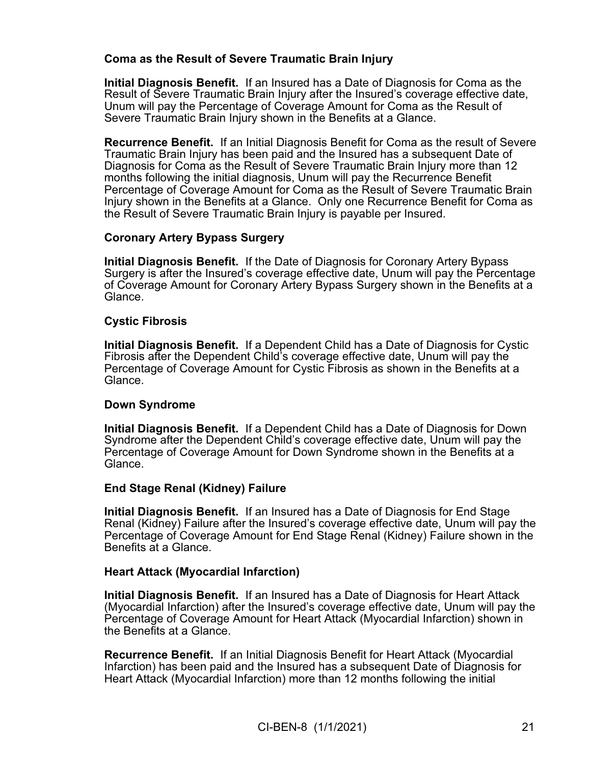## **Coma as the Result of Severe Traumatic Brain Injury**

**Initial Diagnosis Benefit.** If an Insured has a Date of Diagnosis for Coma as the Result of Severe Traumatic Brain Injury after the Insured's coverage effective date, Unum will pay the Percentage of Coverage Amount for Coma as the Result of Severe Traumatic Brain Injury shown in the Benefits at a Glance.

**Recurrence Benefit.** If an Initial Diagnosis Benefit for Coma as the result of Severe Traumatic Brain Injury has been paid and the Insured has a subsequent Date of Diagnosis for Coma as the Result of Severe Traumatic Brain Injury more than 12 months following the initial diagnosis, Unum will pay the Recurrence Benefit Percentage of Coverage Amount for Coma as the Result of Severe Traumatic Brain Injury shown in the Benefits at a Glance. Only one Recurrence Benefit for Coma as the Result of Severe Traumatic Brain Injury is payable per Insured.

## **Coronary Artery Bypass Surgery**

**Initial Diagnosis Benefit.** If the Date of Diagnosis for Coronary Artery Bypass Surgery is after the Insured's coverage effective date, Unum will pay the Percentage of Coverage Amount for Coronary Artery Bypass Surgery shown in the Benefits at a Glance.

## **Cystic Fibrosis**

**Initial Diagnosis Benefit.** If a Dependent Child has a Date of Diagnosis for Cystic Fibrosis after the Dependent Child's coverage effective date, Unum will pay the Percentage of Coverage Amount for Cystic Fibrosis as shown in the Benefits at a Glance.

## **Down Syndrome**

**Initial Diagnosis Benefit.** If a Dependent Child has a Date of Diagnosis for Down Syndrome after the Dependent Child's coverage effective date, Unum will pay the Percentage of Coverage Amount for Down Syndrome shown in the Benefits at a Glance.

## **End Stage Renal (Kidney) Failure**

**Initial Diagnosis Benefit.** If an Insured has a Date of Diagnosis for End Stage Renal (Kidney) Failure after the Insured's coverage effective date, Unum will pay the Percentage of Coverage Amount for End Stage Renal (Kidney) Failure shown in the Benefits at a Glance.

### **Heart Attack (Myocardial Infarction)**

**Initial Diagnosis Benefit.** If an Insured has a Date of Diagnosis for Heart Attack (Myocardial Infarction) after the Insured's coverage effective date, Unum will pay the Percentage of Coverage Amount for Heart Attack (Myocardial Infarction) shown in the Benefits at a Glance.

**Recurrence Benefit.** If an Initial Diagnosis Benefit for Heart Attack (Myocardial Infarction) has been paid and the Insured has a subsequent Date of Diagnosis for Heart Attack (Myocardial Infarction) more than 12 months following the initial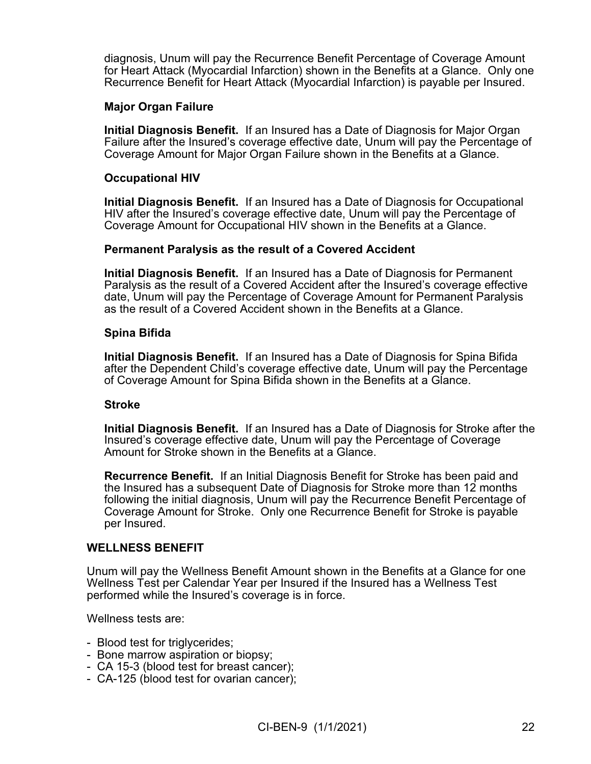diagnosis, Unum will pay the Recurrence Benefit Percentage of Coverage Amount for Heart Attack (Myocardial Infarction) shown in the Benefits at a Glance. Only one Recurrence Benefit for Heart Attack (Myocardial Infarction) is payable per Insured.

### **Major Organ Failure**

**Initial Diagnosis Benefit.** If an Insured has a Date of Diagnosis for Major Organ Failure after the Insured's coverage effective date, Unum will pay the Percentage of Coverage Amount for Major Organ Failure shown in the Benefits at a Glance.

#### **Occupational HIV**

**Initial Diagnosis Benefit.** If an Insured has a Date of Diagnosis for Occupational HIV after the Insured's coverage effective date, Unum will pay the Percentage of Coverage Amount for Occupational HIV shown in the Benefits at a Glance.

#### **Permanent Paralysis as the result of a Covered Accident**

**Initial Diagnosis Benefit.** If an Insured has a Date of Diagnosis for Permanent Paralysis as the result of a Covered Accident after the Insured's coverage effective date, Unum will pay the Percentage of Coverage Amount for Permanent Paralysis as the result of a Covered Accident shown in the Benefits at a Glance.

#### **Spina Bifida**

**Initial Diagnosis Benefit.** If an Insured has a Date of Diagnosis for Spina Bifida after the Dependent Child's coverage effective date, Unum will pay the Percentage of Coverage Amount for Spina Bifida shown in the Benefits at a Glance.

#### **Stroke**

**Initial Diagnosis Benefit.** If an Insured has a Date of Diagnosis for Stroke after the Insured's coverage effective date, Unum will pay the Percentage of Coverage Amount for Stroke shown in the Benefits at a Glance.

**Recurrence Benefit.** If an Initial Diagnosis Benefit for Stroke has been paid and the Insured has a subsequent Date of Diagnosis for Stroke more than 12 months following the initial diagnosis, Unum will pay the Recurrence Benefit Percentage of Coverage Amount for Stroke. Only one Recurrence Benefit for Stroke is payable per Insured.

#### **WELLNESS BENEFIT**

Unum will pay the Wellness Benefit Amount shown in the Benefits at a Glance for one Wellness Test per Calendar Year per Insured if the Insured has a Wellness Test performed while the Insured's coverage is in force.

Wellness tests are:

- Blood test for triglycerides;
- Bone marrow aspiration or biopsy;
- CA 15-3 (blood test for breast cancer);
- CA-125 (blood test for ovarian cancer);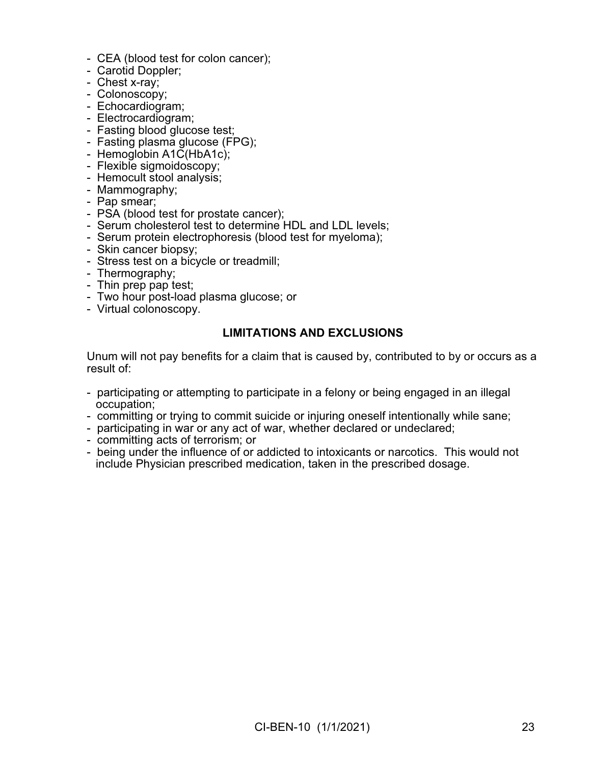- CEA (blood test for colon cancer);
- Carotid Doppler;
- Chest x-ray;
- Colonoscopy;
- Echocardiogram;
- Electrocardiogram;
- Fasting blood glucose test;
- Fasting plasma glucose (FPG);
- Hemoglobin A1C(HbA1c);
- Flexible sigmoidoscopy;
- Hemocult stool analysis;
- Mammography;
- Pap smear;
- PSA (blood test for prostate cancer);
- Serum cholesterol test to determine HDL and LDL levels;
- Serum protein electrophoresis (blood test for myeloma);
- Skin cancer biopsy;
- Stress test on a bicycle or treadmill;
- Thermography;
- Thin prep pap test;
- Two hour post-load plasma glucose; or
- Virtual colonoscopy.

#### **LIMITATIONS AND EXCLUSIONS**

Unum will not pay benefits for a claim that is caused by, contributed to by or occurs as a result of:

- participating or attempting to participate in a felony or being engaged in an illegal occupation;
- committing or trying to commit suicide or injuring oneself intentionally while sane;
- participating in war or any act of war, whether declared or undeclared;
- committing acts of terrorism; or
- being under the influence of or addicted to intoxicants or narcotics. This would not include Physician prescribed medication, taken in the prescribed dosage.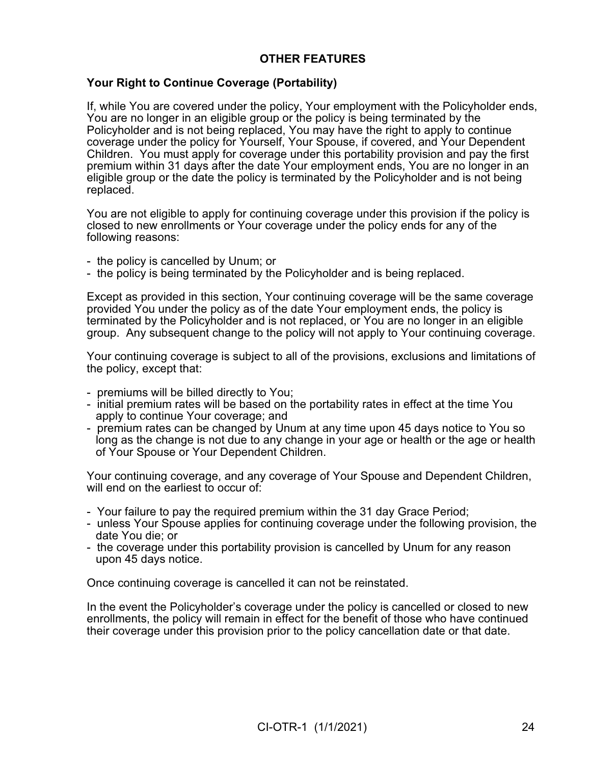# **OTHER FEATURES**

## **Your Right to Continue Coverage (Portability)**

If, while You are covered under the policy, Your employment with the Policyholder ends, You are no longer in an eligible group or the policy is being terminated by the Policyholder and is not being replaced, You may have the right to apply to continue coverage under the policy for Yourself, Your Spouse, if covered, and Your Dependent Children. You must apply for coverage under this portability provision and pay the first premium within 31 days after the date Your employment ends, You are no longer in an eligible group or the date the policy is terminated by the Policyholder and is not being replaced.

You are not eligible to apply for continuing coverage under this provision if the policy is closed to new enrollments or Your coverage under the policy ends for any of the following reasons:

- the policy is cancelled by Unum; or
- the policy is being terminated by the Policyholder and is being replaced.

Except as provided in this section, Your continuing coverage will be the same coverage provided You under the policy as of the date Your employment ends, the policy is terminated by the Policyholder and is not replaced, or You are no longer in an eligible group. Any subsequent change to the policy will not apply to Your continuing coverage.

Your continuing coverage is subject to all of the provisions, exclusions and limitations of the policy, except that:

- premiums will be billed directly to You;
- initial premium rates will be based on the portability rates in effect at the time You apply to continue Your coverage; and
- premium rates can be changed by Unum at any time upon 45 days notice to You so long as the change is not due to any change in your age or health or the age or health of Your Spouse or Your Dependent Children.

Your continuing coverage, and any coverage of Your Spouse and Dependent Children, will end on the earliest to occur of:

- Your failure to pay the required premium within the 31 day Grace Period;
- unless Your Spouse applies for continuing coverage under the following provision, the date You die; or
- the coverage under this portability provision is cancelled by Unum for any reason upon 45 days notice.

Once continuing coverage is cancelled it can not be reinstated.

In the event the Policyholder's coverage under the policy is cancelled or closed to new enrollments, the policy will remain in effect for the benefit of those who have continued their coverage under this provision prior to the policy cancellation date or that date.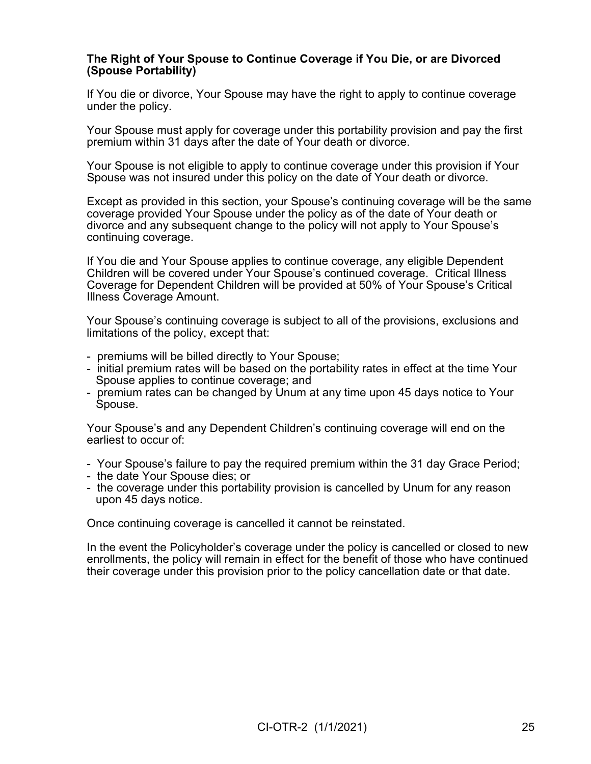### **The Right of Your Spouse to Continue Coverage if You Die, or are Divorced (Spouse Portability)**

If You die or divorce, Your Spouse may have the right to apply to continue coverage under the policy.

Your Spouse must apply for coverage under this portability provision and pay the first premium within 31 days after the date of Your death or divorce.

Your Spouse is not eligible to apply to continue coverage under this provision if Your Spouse was not insured under this policy on the date of Your death or divorce.

Except as provided in this section, your Spouse's continuing coverage will be the same coverage provided Your Spouse under the policy as of the date of Your death or divorce and any subsequent change to the policy will not apply to Your Spouse's continuing coverage.

If You die and Your Spouse applies to continue coverage, any eligible Dependent Children will be covered under Your Spouse's continued coverage. Critical Illness Coverage for Dependent Children will be provided at 50% of Your Spouse's Critical Illness Coverage Amount.

Your Spouse's continuing coverage is subject to all of the provisions, exclusions and limitations of the policy, except that:

- premiums will be billed directly to Your Spouse;
- initial premium rates will be based on the portability rates in effect at the time Your Spouse applies to continue coverage; and
- premium rates can be changed by Unum at any time upon 45 days notice to Your Spouse.

Your Spouse's and any Dependent Children's continuing coverage will end on the earliest to occur of:

- Your Spouse's failure to pay the required premium within the 31 day Grace Period;
- the date Your Spouse dies; or
- the coverage under this portability provision is cancelled by Unum for any reason upon 45 days notice.

Once continuing coverage is cancelled it cannot be reinstated.

In the event the Policyholder's coverage under the policy is cancelled or closed to new enrollments, the policy will remain in effect for the benefit of those who have continued their coverage under this provision prior to the policy cancellation date or that date.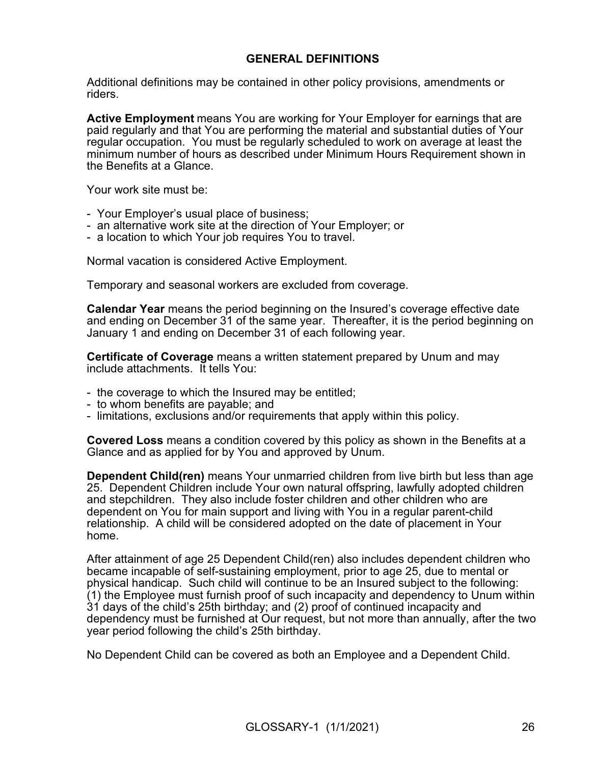## **GENERAL DEFINITIONS**

Additional definitions may be contained in other policy provisions, amendments or riders.

**Active Employment** means You are working for Your Employer for earnings that are paid regularly and that You are performing the material and substantial duties of Your regular occupation. You must be regularly scheduled to work on average at least the minimum number of hours as described under Minimum Hours Requirement shown in the Benefits at a Glance.

Your work site must be:

- Your Employer's usual place of business;
- an alternative work site at the direction of Your Employer; or
- a location to which Your job requires You to travel.

Normal vacation is considered Active Employment.

Temporary and seasonal workers are excluded from coverage.

**Calendar Year** means the period beginning on the Insured's coverage effective date and ending on December 31 of the same year. Thereafter, it is the period beginning on January 1 and ending on December 31 of each following year.

**Certificate of Coverage** means a written statement prepared by Unum and may include attachments. It tells You:

- the coverage to which the Insured may be entitled;
- to whom benefits are payable; and
- limitations, exclusions and/or requirements that apply within this policy.

**Covered Loss** means a condition covered by this policy as shown in the Benefits at a Glance and as applied for by You and approved by Unum.

**Dependent Child(ren)** means Your unmarried children from live birth but less than age 25. Dependent Children include Your own natural offspring, lawfully adopted children and stepchildren. They also include foster children and other children who are dependent on You for main support and living with You in a regular parent-child relationship. A child will be considered adopted on the date of placement in Your home.

After attainment of age 25 Dependent Child(ren) also includes dependent children who became incapable of self-sustaining employment, prior to age 25, due to mental or physical handicap. Such child will continue to be an Insured subject to the following: (1) the Employee must furnish proof of such incapacity and dependency to Unum within 31 days of the child's 25th birthday; and (2) proof of continued incapacity and dependency must be furnished at Our request, but not more than annually, after the two year period following the child's 25th birthday.

No Dependent Child can be covered as both an Employee and a Dependent Child.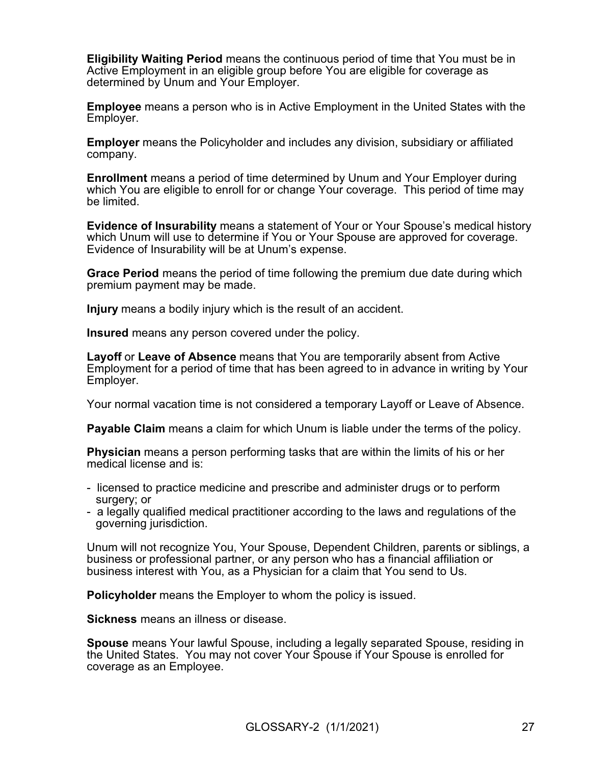**Eligibility Waiting Period** means the continuous period of time that You must be in Active Employment in an eligible group before You are eligible for coverage as determined by Unum and Your Employer.

**Employee** means a person who is in Active Employment in the United States with the Employer.

**Employer** means the Policyholder and includes any division, subsidiary or affiliated company.

**Enrollment** means a period of time determined by Unum and Your Employer during which You are eligible to enroll for or change Your coverage. This period of time may be limited.

**Evidence of Insurability** means a statement of Your or Your Spouse's medical history which Unum will use to determine if You or Your Spouse are approved for coverage. Evidence of Insurability will be at Unum's expense.

**Grace Period** means the period of time following the premium due date during which premium payment may be made.

**Injury** means a bodily injury which is the result of an accident.

**Insured** means any person covered under the policy.

**Layoff** or **Leave of Absence** means that You are temporarily absent from Active Employment for a period of time that has been agreed to in advance in writing by Your Employer.

Your normal vacation time is not considered a temporary Layoff or Leave of Absence.

**Payable Claim** means a claim for which Unum is liable under the terms of the policy.

**Physician** means a person performing tasks that are within the limits of his or her medical license and is:

- licensed to practice medicine and prescribe and administer drugs or to perform surgery; or
- a legally qualified medical practitioner according to the laws and regulations of the governing jurisdiction.

Unum will not recognize You, Your Spouse, Dependent Children, parents or siblings, a business or professional partner, or any person who has a financial affiliation or business interest with You, as a Physician for a claim that You send to Us.

**Policyholder** means the Employer to whom the policy is issued.

**Sickness** means an illness or disease.

**Spouse** means Your lawful Spouse, including a legally separated Spouse, residing in the United States. You may not cover Your Spouse if Your Spouse is enrolled for coverage as an Employee.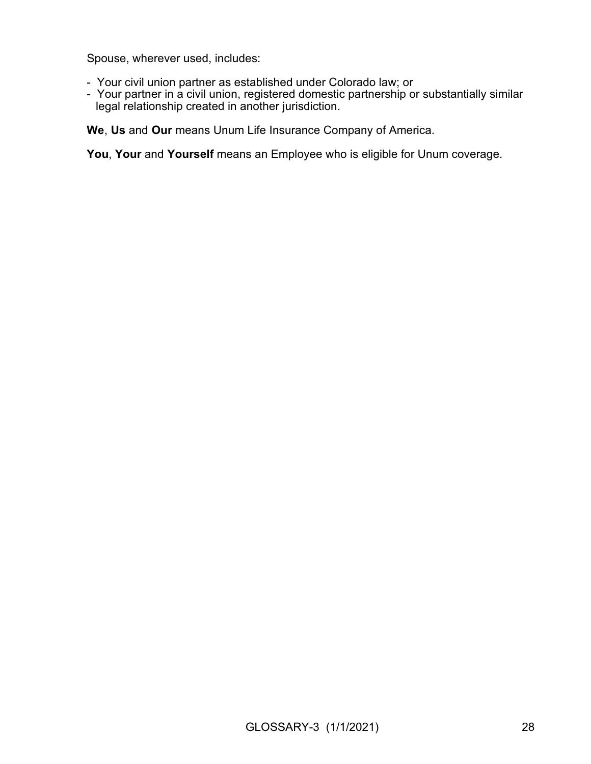Spouse, wherever used, includes:

- Your civil union partner as established under Colorado law; or
- Your partner in a civil union, registered domestic partnership or substantially similar legal relationship created in another jurisdiction.

**We**, **Us** and **Our** means Unum Life Insurance Company of America.

**You**, **Your** and **Yourself** means an Employee who is eligible for Unum coverage.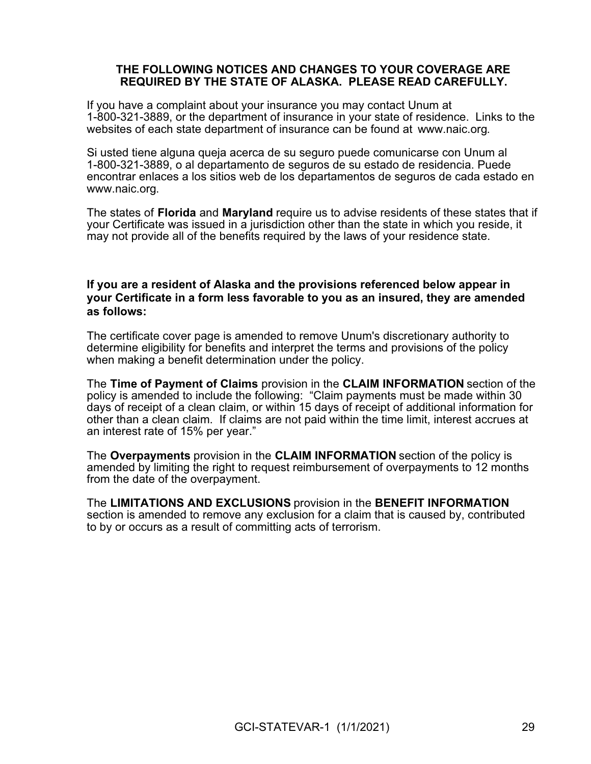#### **THE FOLLOWING NOTICES AND CHANGES TO YOUR COVERAGE ARE REQUIRED BY THE STATE OF ALASKA. PLEASE READ CAREFULLY.**

If you have a complaint about your insurance you may contact Unum at 1-800-321-3889, or the department of insurance in your state of residence. Links to the websites of each state department of insurance can be found at [www.naic.org.](http://www.naic.org/)

Si usted tiene alguna queja acerca de su seguro puede comunicarse con Unum al 1-800-321-3889, o al departamento de seguros de su estado de residencia. Puede encontrar enlaces a los sitios web de los departamentos de seguros de cada estado en [www.naic.org.](http://www.naic.org)

The states of **Florida** and **Maryland** require us to advise residents of these states that if your Certificate was issued in a jurisdiction other than the state in which you reside, it may not provide all of the benefits required by the laws of your residence state.

## **If you are a resident of Alaska and the provisions referenced below appear in your Certificate in a form less favorable to you as an insured, they are amended as follows:**

The certificate cover page is amended to remove Unum's discretionary authority to determine eligibility for benefits and interpret the terms and provisions of the policy when making a benefit determination under the policy.

The **Time of Payment of Claims** provision in the **CLAIM INFORMATION** section of the policy is amended to include the following: "Claim payments must be made within 30 days of receipt of a clean claim, or within 15 days of receipt of additional information for other than a clean claim. If claims are not paid within the time limit, interest accrues at an interest rate of 15% per year."

The **Overpayments** provision in the **CLAIM INFORMATION** section of the policy is amended by limiting the right to request reimbursement of overpayments to 12 months from the date of the overpayment.

The **LIMITATIONS AND EXCLUSIONS** provision in the **BENEFIT INFORMATION** section is amended to remove any exclusion for a claim that is caused by, contributed to by or occurs as a result of committing acts of terrorism.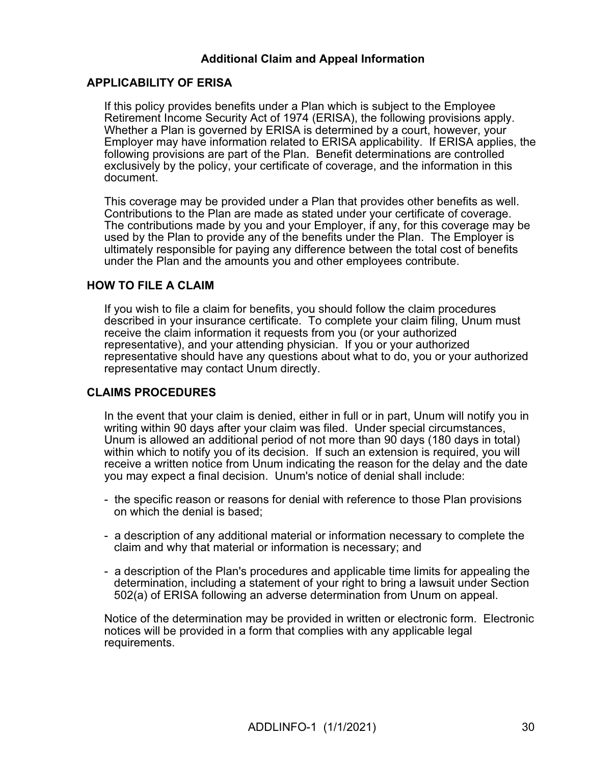# **Additional Claim and Appeal Information**

## **APPLICABILITY OF ERISA**

If this policy provides benefits under a Plan which is subject to the Employee Retirement Income Security Act of 1974 (ERISA), the following provisions apply. Whether a Plan is governed by ERISA is determined by a court, however, your Employer may have information related to ERISA applicability. If ERISA applies, the following provisions are part of the Plan. Benefit determinations are controlled exclusively by the policy, your certificate of coverage, and the information in this document.

This coverage may be provided under a Plan that provides other benefits as well. Contributions to the Plan are made as stated under your certificate of coverage. The contributions made by you and your Employer, if any, for this coverage may be used by the Plan to provide any of the benefits under the Plan. The Employer is ultimately responsible for paying any difference between the total cost of benefits under the Plan and the amounts you and other employees contribute.

## **HOW TO FILE A CLAIM**

If you wish to file a claim for benefits, you should follow the claim procedures described in your insurance certificate. To complete your claim filing, Unum must receive the claim information it requests from you (or your authorized representative), and your attending physician. If you or your authorized representative should have any questions about what to do, you or your authorized representative may contact Unum directly.

## **CLAIMS PROCEDURES**

In the event that your claim is denied, either in full or in part, Unum will notify you in writing within 90 days after your claim was filed. Under special circumstances, Unum is allowed an additional period of not more than 90 days (180 days in total) within which to notify you of its decision. If such an extension is required, you will receive a written notice from Unum indicating the reason for the delay and the date you may expect a final decision. Unum's notice of denial shall include:

- the specific reason or reasons for denial with reference to those Plan provisions on which the denial is based;
- a description of any additional material or information necessary to complete the claim and why that material or information is necessary; and
- a description of the Plan's procedures and applicable time limits for appealing the determination, including a statement of your right to bring a lawsuit under Section 502(a) of ERISA following an adverse determination from Unum on appeal.

Notice of the determination may be provided in written or electronic form. Electronic notices will be provided in a form that complies with any applicable legal requirements.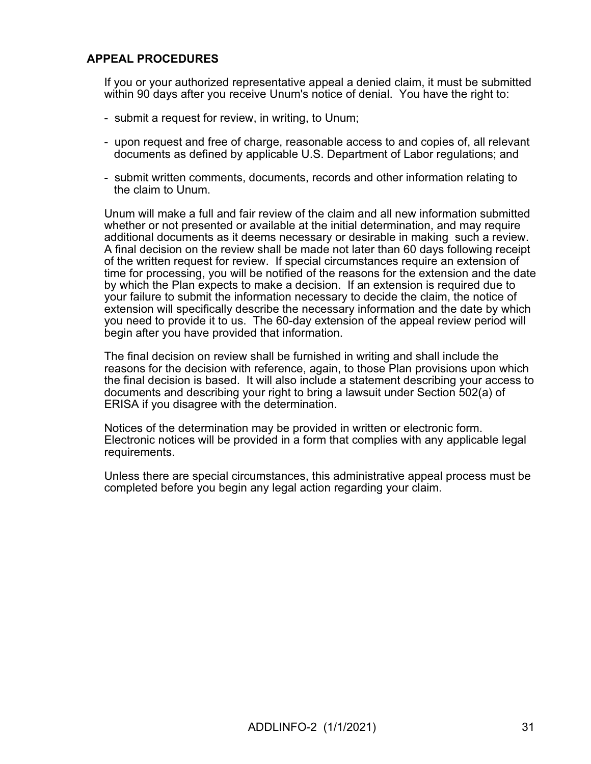# **APPEAL PROCEDURES**

If you or your authorized representative appeal a denied claim, it must be submitted within 90 days after you receive Unum's notice of denial. You have the right to:

- submit a request for review, in writing, to Unum;
- upon request and free of charge, reasonable access to and copies of, all relevant documents as defined by applicable U.S. Department of Labor regulations; and
- submit written comments, documents, records and other information relating to the claim to Unum.

Unum will make a full and fair review of the claim and all new information submitted whether or not presented or available at the initial determination, and may require additional documents as it deems necessary or desirable in making such a review. A final decision on the review shall be made not later than 60 days following receipt of the written request for review. If special circumstances require an extension of time for processing, you will be notified of the reasons for the extension and the date by which the Plan expects to make a decision. If an extension is required due to your failure to submit the information necessary to decide the claim, the notice of extension will specifically describe the necessary information and the date by which you need to provide it to us. The 60-day extension of the appeal review period will begin after you have provided that information.

The final decision on review shall be furnished in writing and shall include the reasons for the decision with reference, again, to those Plan provisions upon which the final decision is based. It will also include a statement describing your access to documents and describing your right to bring a lawsuit under Section 502(a) of ERISA if you disagree with the determination.

Notices of the determination may be provided in written or electronic form. Electronic notices will be provided in a form that complies with any applicable legal requirements.

Unless there are special circumstances, this administrative appeal process must be completed before you begin any legal action regarding your claim.